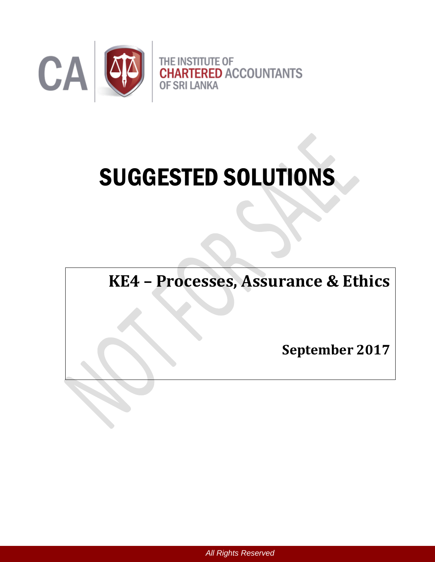

# SUGGESTED SOLUTIONS

**KE4 – Processes, Assurance & Ethics** 

**September 2017**

*All Rights Reserved*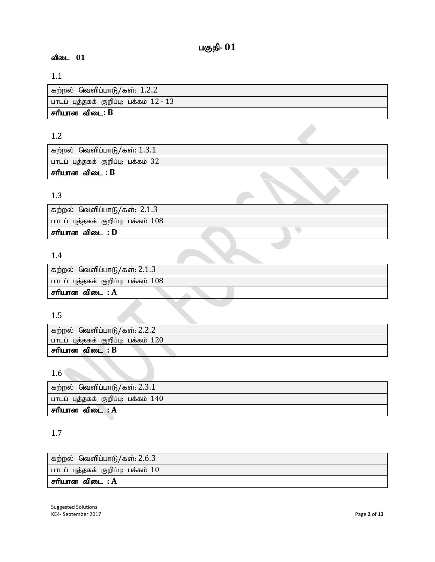# 1.1

| கற்றல்  வெளிப்பாடு/கள்: 1.2.2           |
|-----------------------------------------|
| பாடப் புத்தகக் குறிப்பு: பக்கம் 12 - 13 |
| சரியான விடை: B                          |

## 1.2

| கற்றல் வெளிப்பாடு/கள்: $1.3.1$     |  |  |
|------------------------------------|--|--|
| பாடப் புத்தகக் குறிப்பு: பக்கம் 32 |  |  |
| சரியான விடை : B                    |  |  |

## 1.3

| கற்றல் வெளிப்பாடு/கள்: 2.1.3          |  |  |
|---------------------------------------|--|--|
| பாடப் புத்தகக் குறிப்பு: பக்கம் $108$ |  |  |
| சரியான விடை : D                       |  |  |
|                                       |  |  |

 $\sum_{i=1}^n \alpha_i$ 

# 1.4

| கற்றல் வெளிப்பாடு/கள்: 2.1.3          |  |
|---------------------------------------|--|
| பாடப் புத்தகக் குறிப்பு: பக்கம் $108$ |  |
| சரியான விடை : $A$                     |  |
|                                       |  |

# 1.5

| கற்றல் வெளிப்பாடு/கள்: 2.2.2                  |
|-----------------------------------------------|
| ் பாடப் புத்தகக் குறிப்பு: பக்கம் $120^\circ$ |
| . சரியான விடை : B                             |

# 1.6

| கற்றல் வெளிப்பாடு/கள்: 2.3.1          |
|---------------------------------------|
| பாடப் புத்தகக் குறிப்பு: பக்கம் $140$ |
| சரியான விடை : $A$                     |

## 1.7

| கற்றல் வெளிப்பாடு/கள்: 2.6.3         |
|--------------------------------------|
| பாடப் புத்தகக் குறிப்பு: பக்கம் $10$ |
| சரியான விடை : $\bf A$                |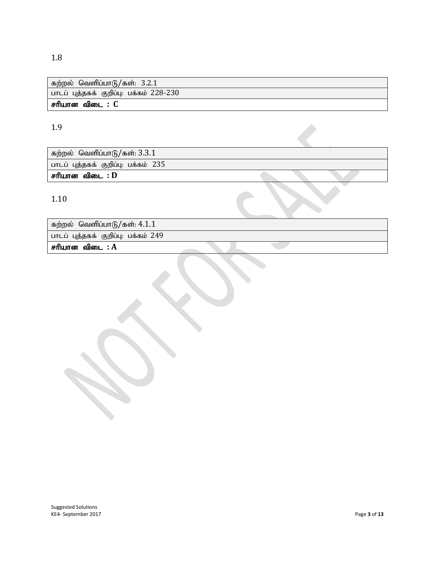## 1.8

| கற்றல் வெளிப்பாடு/கள்: 3.2.1            |
|-----------------------------------------|
| பாடப் புத்தகக் குறிப்பு: பக்கம் 228-230 |
| சரியான விடை : C                         |

 $\mathcal{L}^{\mathcal{L}}$ 

# 1.9

கற்றல் வெளிப்பாடு/கள்:  $3.3.1$ பாடப் புத்தகக் குறிப்பு: பக்கம் 235

சரியான விடை : **D** 

1.10

| கற்றல் வெளிப்பாடு/கள்: 4.1.1 |  |  |                                     |  |
|------------------------------|--|--|-------------------------------------|--|
|                              |  |  | பாடப் புத்தகக் குறிப்பு: பக்கம் 249 |  |

 $F$ ரியான விடை $: A$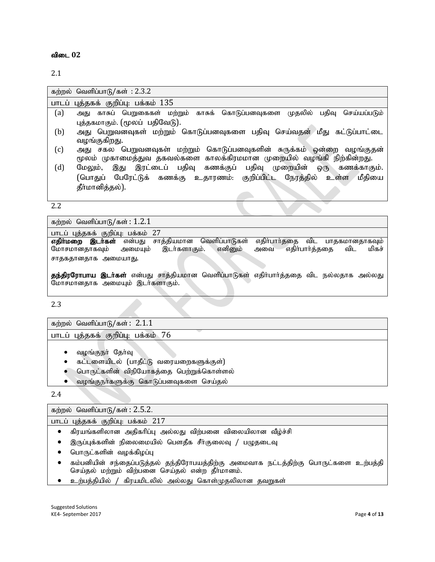2.1

|     | கற்றல் வெளிப்பாடு/கள் : 2.3.2                                                   |
|-----|---------------------------------------------------------------------------------|
|     | பாடப் புத்தகக் குறிப்பு: பக்கம் 135                                             |
| (a) | காசுப் பெறுகைகள் மற்றும் காசுக் கொடுப்பனவுகளை முதலில் பதிவு செய்யப்படும்<br>அது |
|     | புத்தகமாகும். (மூலப் பதிவேடு).                                                  |
| (b) | அது பெறுவனவுகள் மற்றும் கொடுப்பனவுகளை பதிவு செய்வதன் மீது கட்டுப்பாட்டை         |
|     | வழங்குகிறது.                                                                    |
| (c) | அது சகல பெறுவனவுகள் மற்றும் கொடுப்பனவுகளின் சுருக்கம் ஒன்றை வழங்குதன்           |
|     | மூலம் முகாமைத்துவ தகவல்களை காலக்கிரமமான முறையில் வழங்கி நிற்கின்றது.            |
| (d) | இது இரட்டைப் பதிவு கணக்குப் பதிவு முறையின் ஒரு கணக்காகும்.<br>மேலும்,           |
|     | (பொதுப் பேரேட்டுக் கணக்கு உதாரணம். குறிப்பிட்ட நேரத்தில் உள்ள<br>மீதியை         |
|     | தீா்மானித்தல்).                                                                 |
|     |                                                                                 |

2.2

கற்றல் வெளிப்பாடு/கள்:  $1.2.1$ 

பாடப் புத்தகக் குறிப்பு: பக்கம் 27

**எதிா்மறை இடா்கள்** என்பது சாத்தியமான வெளிப்பாடுகள் எதிா்பாா்ததை விட பாதகமானதாகவும்<br>மோசமானதாகவும் அமையும் இடா்களாகும். எனினும் அவை எதிா்பாா்த்ததை விட மிகச் மோசமானதாகவும் சாதகதானதாக அமையாது.

தந்திரரோபாய இடா்கள் என்பது சாத்தியமான வெளிப்பாடுகள் எதிா்பாா்த்ததை விட நல்லதாக அல்லது மோசமானதாக அமையும் இடர்களாகும்.

2.3

கற்றல் வெளிப்பா $\beta$ /கள்:  $2.1.1$ 

பாடப் புத்தகக் குறிப்பு: பக்கம் 76

- வழங்குநா் தோ்வு
- கட்டளையிடல் (பாதீட்டு வரையறைகளுக்குள்)
- பொருட்களின் விநியோகத்தை பெற்றுக்கொள்ளல்
- வழங்குநா்களுக்கு கொடுப்பனவுகளை செய்தல்

2.4

கற்றல் வெளிப்பாடு/கள்:  $2.5.2$ .

பாடப் புத்தகக் குறிப்பு: பக்கம் 217

- $\bullet$  கிரயங்களிலான அதிகரிப்பு அல்லது விற்பனை விலையிலான வீழ்ச்சி
- $\bullet$  இருப்புக்களின் நிலைமையில் பௌதீக சீா்குலைவு / பழுதடைவு
- பொருட்களின் வழக்கிழப்பு
- கம்பனியின் சந்தைப்படுத்தல் தந்திரோபயத்திற்கு அமைவாக நட்டத்திற்கு பொருட்களை உற்பத்தி செய்தல் மற்றும் விற்பனை செய்தல் என்ற தீா்மானம்.
- $\bullet$  உற்பத்தியில் / கிரயமிடலில் அல்லது கொள்முதலிலான தவறுகள்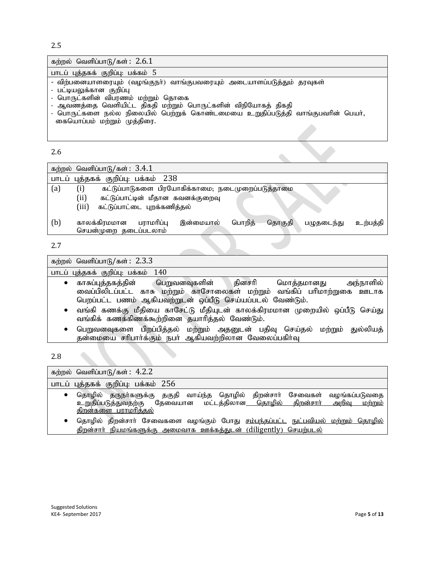2.5

| கற்றல் வெளிப்பாடு/கள்: $2.6.1$                                                                                                                                                                                                                                                                                               |
|------------------------------------------------------------------------------------------------------------------------------------------------------------------------------------------------------------------------------------------------------------------------------------------------------------------------------|
| பாடப் புத்தகக் குறிப்பு: பக்கம் 5                                                                                                                                                                                                                                                                                            |
| - விற்பனையாளரையும் (வழங்குநா்) வாங்குபவரையும் அடையாளப்படுத்தும் தரவுகள்<br>- பட்டியலுக்கான குறிப்பு<br>- பொருட்களின் விபரணம் மற்றும் தொகை<br>- ஆவணத்தை வெளியிட்ட திகதி மற்றும் பொருட்களின் விநியோகத் திகதி<br>- பொருட்களை நல்ல நிலையில் பெற்றுக் கொண்டமையை உறுதிப்படுத்தி வாங்குபவரின் பெயர்,<br>கையொப்பம் மற்றும் முத்திரை. |

2.6

| 4.O |                                                                                                                                              |  |
|-----|----------------------------------------------------------------------------------------------------------------------------------------------|--|
|     | கற்றல் வெளிப்பாடு/கள்: $3.4.1$                                                                                                               |  |
|     | பாடப் புத்தகக் குறிப்பு: பக்கம் 238                                                                                                          |  |
| (a) | (i)<br>கட்டுப்பாடுகளை பிரயோகிக்காமை; நடைமுறைப்படுத்தாமை<br>(ii)<br>கட்டுப்பாட்டின் மீதான கவனக்குறைவு<br>(iii)<br>கட்டுப்பாட்டை புறக்கணித்தல் |  |
| (b) | பராமரிப்பு<br>பொறிக்<br>தொகுதி<br>காலக்கிரமமான<br>இன்மையால்<br>உற்பத்தி<br>பமுதடைந்து<br>செயன்முறை தடைப்படலாம்                               |  |
| 2.7 |                                                                                                                                              |  |

| கற்றல் வெளிப்பாடு/கள்: $2.3.3$                                                                                                                                                                                                                                                                                                                |
|-----------------------------------------------------------------------------------------------------------------------------------------------------------------------------------------------------------------------------------------------------------------------------------------------------------------------------------------------|
| பாடப் புத்தகக் குறிப்பு: பக்கம் 140                                                                                                                                                                                                                                                                                                           |
| • காசுப்புத்தகத்தின்  பெறுவனவுகளின்  தினசரி  மொத்தமானது  அந்நாளில்<br>வைப்பிலிடப்பட்ட காசு மற்றும் காசோலைகள் மற்றும் வங்கிப் பரிமாற்றுகை ஊடாக<br>பெறப்பட்ட பணம் ஆகியவற்றுடன் ஒப்பீடு செய்யப்படல் வேண்டும்.<br>• வங்கி கணக்கு மீதியை காசேட்டு மீதியுடன் காலக்கிரமமான முறையில் ஒப்பீடு செய்து<br>வங்கிக் கணக்கிணக்கூற்றினை தயாரித்தல் வேண்டும். |
| பெறுவனவுகளை பிறப்பித்தல் மற்றும் அதனுடன் பதிவு செய்தல்<br>மற்றும் துல்லியத்<br>$\bullet$<br>தன்மையை சரிபார்க்கும் நபர் ஆகியவற்றிலான வேலைப்பகிர்வு                                                                                                                                                                                             |
| $\sim$ $\sim$                                                                                                                                                                                                                                                                                                                                 |

2.8

| கற்றல் வெளிப்பாடு/கள்: $4.2.2$                                                                                                                                                                    |
|---------------------------------------------------------------------------------------------------------------------------------------------------------------------------------------------------|
| பாடப் புத்தகக் குறிப்பு: பக்கம் 256                                                                                                                                                               |
| தொழில் தருநா்களுக்கு தகுதி வாய்ந்த தொழில் திறன்சாா் சேவைகள்<br>வழங்கப்படுவதை<br>உறுதிப்படுத்துவதற்கு தேவையான மட்டத்திலான <u> தொழில் திறன்சார் அறிவு</u><br><u>மற்றும்</u><br>திறன்களை பராமரித்தல் |
| தொழில் திறன்சாா் சேவைகளை வழங்கும் போது <u>சம்பந்தப்பட்ட நுட்பவியல் மற்றும் தொழில்</u><br><u>திறன்சார் நியமங்களுக்கு அமைவாக ஊக்கத்துடன் (diligently) செயற்படல்</u>                                 |

ô,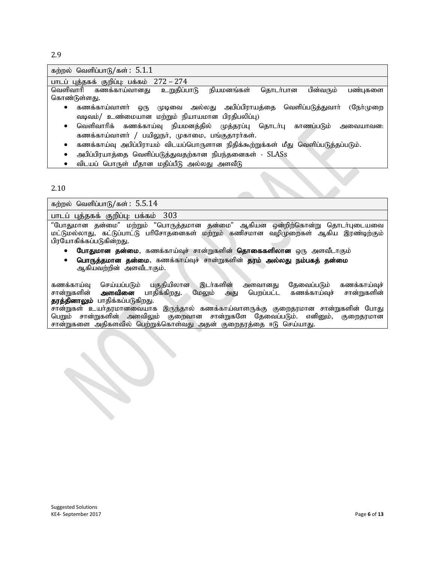2.9

| கற்றல் வெளிப்பாடு/கள்: $5.1.1$                                                         |  |  |  |
|----------------------------------------------------------------------------------------|--|--|--|
| பாடப் புத்தகக் குறிப்பு: பக்கம் 272 – 274                                              |  |  |  |
| பின்வரும்<br>வெளிவாரி கணக்காய்வானது உறுதிப்பாடு<br>நியமனங்கள்<br>தொடர்பான<br>பண்புகளை  |  |  |  |
| கொண்டுள்ளது.                                                                           |  |  |  |
| முடிவை அல்லது அபிப்பிராயத்தை வெளிப்படுத்துவாா்<br>(நேர்முறை<br>கணக்காய்வாளர்<br>ஒரு    |  |  |  |
| வடிவம்/ உண்மையான மற்றும் நியாயமான பிரதிபலிப்பு)                                        |  |  |  |
| வெளிவாரிக் கணக்காய்வு நியமனத்தில் முத்தரப்பு தொடா்பு காணப்படும்<br>அவையாவன:<br>٠       |  |  |  |
| கணக்காய்வாளர் / பயிலுநர், முகாமை, பங்குதாரர்கள்.                                       |  |  |  |
| கணக்காய்வு அபிப்பிராயம் விடயப்பொருளான நிதிக்கூற்றுக்கள் மீது வெளிப்படுத்தப்படும்.<br>٠ |  |  |  |
| அபிப்பிரயாத்தை வெளிப்படுத்துவதற்கான நிபந்தனைகள் - SLASs                                |  |  |  |

 $\bullet$  விடயப் பொருள் மீதான மதிப்பீடு அல்லது அளவீடு

#### 2.10

கற்றல் வெளிப்பாடு/கள்:  $5.5.14$ 

பாடப் புத்தகக் குறிப்பு: பக்கம் 303

"போதுமான தன்மை" மற்றும் "பொருத்தமான தன்மை" ஆகியன ஒன்றிற்கொன்று தொடர்புடையவை மட்டுமல்லாது, கட்டுப்பாட்டு பரிசோதனைகள் மற்றும் கணிசமான வழிமுறைகள் ஆகிய இரண்டிற்கும் பிரயோகிக்கப்படுகின்றது.

- போதுமான தன்மை, கணக்காய்வுச் சான்றுகளின் **தொகைகளிலான** ஒரு அளவீடாகும்
- **பொருத்தமான தன்மை**, கணக்காய்வுச் சான்றுகளின் **தரம் அல்லது நம்பகத் தன்மை** ஆகியவற்றின் அளவீடாகும்.

கணக்காய்வு செய்யப்படும் பகுதியிலான இடர்களின் அளவானது தேவைப்படும் கணக்காய்வுச்<br>சான்றுகளின் **அளவினை** பாதிக்கிறது. மேலும் அது பெறப்பட்ட கணக்காய்வுச் சான்றுகளின் கணக்காய்வுச் தரத்தினாலும் பாதிக்கப்படுகிறது.

. . . . .<br>சான்றுகள் உயர்தரமானவையாக இருந்தால் கணக்காய்வாளருக்கு குறைதரமான சான்றுகளின் போது பெறும் சான்றுகளின் அளவிலும் குறைவான சான்றுகளே தேவைப்படும். எனினும், குறைதரமான சான்றுகளை அதிகளவில் பெற்றுக்கொள்வது அதன் குறைதரத்தை ஈடு செய்யாது.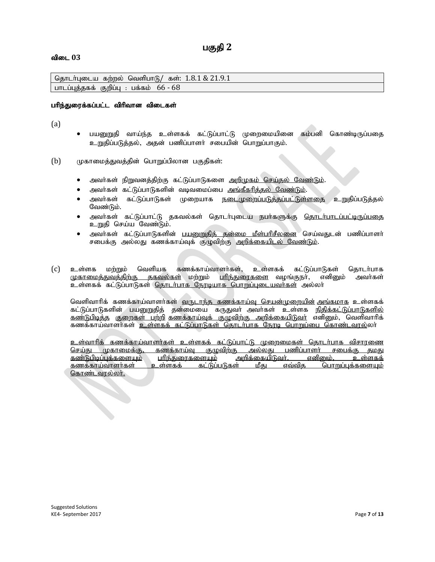## பகுதி 2

#### விடை 03

தொடர்புடைய கற்றல் வெளிபாடு/ கள்:  $1.8.1 \& 21.9.1$ பாடப்புத்தகக் குறிப்பு : பக்கம்  $66 - 68$ 

#### பரிந்துரைக்கப்பட்ட விரிவான விடைகள்

(a)

- பயனுறுதி வாய்ந்த உள்ளகக் கட்டுப்பாட்டு முறைமையினை கம்பனி கொண்டிருப்பதை உறுதிப்படுத்தல், அதன் பணிப்பாளர் சபையின் பொறுப்பாகும்.
- $(b)$  (மகாமைத்துவத்தின் பொறுப்பிலான பகுதிகள்:
	- அவா்கள் நிறுவனத்திற்கு கட்டுப்பாடுகளை <u>அறிமுகம் செய்தல் வேண்டும்</u>.
	- அவர்கள் கட்டுப்பாடுகளின் வடிவமைப்பை <u>அங்கீகரிக்கல் வேண்டும்</u>.
	- அவர்கள் கட்டுப்பாடுகள் முறையாக <u>நடைமுறைப்படுத்தப்பட்டுள்ளதை</u> உறுதிப்படுத்தல் வேண்டும்.
	- அவர்கள் கட்டுப்பாட்டு தகவல்கள் தொடர்புடைய நபர்களுக்கு <u>தொடர்பாடப்பட்டிருப்பதை</u> உறுதி செய்ய வேண்டும்.
	- அவர்கள் கட்டுப்பாடுகளின் <u>பயனுறுதித் தன்மை மீள்பரிசீலனை</u> செய்வதுடன் பணிப்பாளர் சபைக்கு அல்லது கணக்காய்வுக் குழுவிற்கு <u>அறிக்கையிடல் வேண்டும்</u>.
- (c) உள்ளக மற்றும் வெளியக கணக்காய்வாளர்கள், உள்ளகக் கட்டுப்பாடுகள் தொடர்பாக<br>மு<u>காமைக்குவக்கிற்கு ககவல்கள்</u> மற்றும் <u>பரிந்துரைகளை</u> வழங்குநர், எனினும் அவர்கள் <u>முகாமைக்குவக்கிற்கு ககவல்கள்</u> மற்றும் <u>பரிந்துரைகளை</u> வழங்குநா், எனினும் <u>உ</u>ள்ளகக் கட்டுப்பாடுகள் <u>தொடர்பாக நேரடியாக பொறுப்புடையவர்கள்</u> அல்லா்

வெளிவாரிக் கணக்காய்வாளர்கள் <u>வருடாந்த கணக்காய்வு செயன்முறையின் அங்கமாக</u> உள்ளகக் கட்டுப்பாடுகளின் பயனுறுதித் தன்மையை கருதுவா் அவா்கள் உள்ளக <u>நிதிக்கட்டுப்பாடுகளில்</u> <u>கண்டுபிடித்த</u> <u>குறைகள் பற்றி கணக்காய்வுக் குழுவிற்கு அறிக்கையிடுவா்</u> எனினும், வெளிவாாிக் கணக்காய்வாளர்கள் <u>உள்ளகக் கட்டுப்பாடுகள் தொடர்பாக நோடி பொறுப்பை கொண்டவரல்</u>லா்

<u>உள்வாரிக் கணக்காய்வாளர்கள் உள்ளகக் கட்டுப்பாட்டு முறைமைகள் தொடர்பாக விசாரணை</u><br>செய்கு முகாமைக்கு, கணக்காய்வ குமவிற்கு அல்லது பணிப்பாளர் சபைக்கு தமது <u>கணக்காய்வு குழுவிற்கு அல்லது பணிப்பாளர் சபைக்கு தமது</u> <u>கண்டுபிடிப்புக்களையும்</u> <u>பரிந்துரைகளையும் அறிக்கையிடுவர். எனினும், உள்ளகக்</u><br><u>கணக்காய்வாளர்கள் உள்ளகக் கட்டுப்படுகள் மீது எவ்வித பொறுப்புக்களையும்</u> <u>கணக்காய்வாளர்கள் உள்ளகக் கட்டுப்படுகள் மீது எவ்வித பொறுப்புக்களையும்</u> <u>கொண்டவரல்லர்.</u>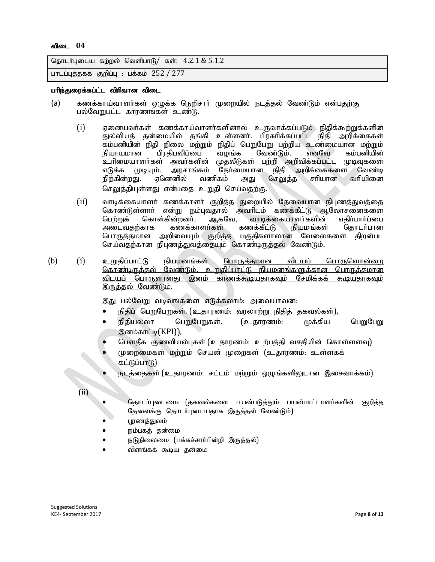```
தொடர்புடைய கற்றல் வெளிபாடு/ கள்: 4.2.1 \& 5.1.2பாடப்புத்தகக் குறிப்பு: பக்கம் 252 / 277
```
#### பரிந்துரைக்கப்ட்ட விரிவான விடை

- (a) கணக்காய்வாளர்கள் ஒழுக்க நெறிசார் முறையில் நடத்தல் வேண்டும் என்பதற்கு பல்வேறுபட்ட காரணங்கள் உண்டு.
	- $(i)$  ஏனையவர்கள் கணக்காய்வாளர்களினால் உருவாக்கப்படும் நிகிக்கூற்றுக்களின் துல்லியத் தன்மையில் தங்கி உள்ளனர். பிரசுரிக்கப்பட்ட நிதி அறிக்கைகள் ்கம்பனியின் நிதி நிலை மற்றும் நிதிப் பெறுபேறு பற்றிய உண்மையான மற்றும்<br>நியாயமான பிரதிபலிப்பை வழங்க வேண்டும். எனவே கம்பனியின் பிரகிபலிப்பை உரிமையாளர்கள் அவர்களின் முதலீடுகள் பற்றி அறிவிக்கப்பட்ட முடிவுகளை<br>எடுக்க முடியும். அரசாங்கம் நேர்மையான நிதி அறிக்கைகளை வேண்டி எடுக்க முடியும். அரசாங்கம் நேர்மையான நிதி அறிக்கைகளை வேண்டி<br>நிற்கின்றது. எனெனில் வணிகம் அது செலுக்க சரியான வரியினை நிற்கின்றது. ஏனெனில் வணிகம் அது செலுத்த செலுத்தியுள்ளது என்பதை உறுதி செய்வதற்கு.
	- (ii) வாடிக்கையாளா் கணக்காளா் குறித்த துறையில் தேவையான நிபுணத்துவத்தை<br> கொண்டுள்ளாா் என்று நம்புவதால் அவாிடம் கணக்கீட்டு ஆலோசனைகளை கொண்டுள்ளார் என்று நம்புவதால் அவரிடம் கணக்கீட்டு ஆலோசனைகளை<br>பெற்றுக் கொள்கின்றனர். ஆகவே, வாடிக்கையாளர்களின் எதிர்பார்ப்பை ின்றனர். ஆகவே, வாடிக்கையாளர்களின் எதிர்பார்ப்பை<br>கணக்காளர்கள் கணக்கீட்டு நியமங்கள் தொடர்பான அடைவதற்காக பொருத்தமான அறிவையும் குறித்த பகுதிகளாலான வேலைகளை திறன்பட செய்வதற்கான நிபுணத்துவத்தையும் கொண்டிருத்தல் வேண்டும்.
- (b) (i) உறுதிப்பாட்டு நியமனங்கள் <u>பொருத்தமான விடயப் பொருளொன்றை</u> <u>கொண்டிருத்தல் வேண்டும். உறுதிப்பாட்டு நியமனங்களுக்கான பொருத்தமான</u> விடயப் பொருளானது இனம் காணக்கூடியதாகவும் சேமிக்கக் கூடியதாகவும் இருத்தல் வேண்டும்.

இது பல்வேறு வடிவங்களை எடுக்கலாம்: அவையாவன:

- நிதிப் பெறுபேறுகள். (உதாரணம்: வரலாற்று நிதித் தகவல்கள்),
- நிதியல்லா பெறுபேறுகள். (உதாரணம்: முக்கிய பெறுபேறு இனம்காட்டி(KPI)),
- பௌதீக குணவியல்புகள் (உதாரணம்: உற்பத்தி வசதியின் கொள்ளளவு)
- முறைமைகள் மற்றும் செயன் முறைகள் (உதாரணம்: உள்ளகக் கட்டுப்பாடு)
- நடத்தைகள் (உதாரணம்: சட்டம் மற்றும் ஒழுங்களிலுடான இசைவாக்கம்)

(ii)

- தொடர்புடைமை: (தகவல்களை பயன்படுத்தும் பயன்பாட்டாளர்களின் குறித்த தேவைக்கு தொடர்புடையதாக இருத்தல் வேண்டும்)
- பூரணத்துவம்
- நம்பகத் தன்மை
- நடுநிலைமை (பக்கச்சார்பின்றி இருத்தல்)
- விளங்கக் கூடிய தன்மை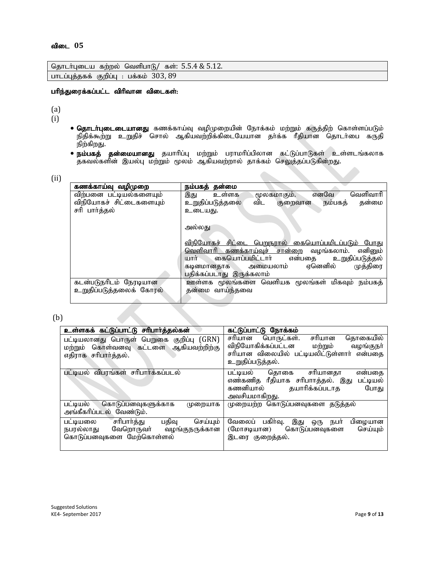|                                          |  | தொடர்புடைய கற்றல் வெளிபாடு/ கள்: 5.5.4 & 5.12. |
|------------------------------------------|--|------------------------------------------------|
| பாடப்புத்தகக் குறிப்பு : பக்கம் $303,89$ |  |                                                |

#### பரிந்துரைக்கப்பட்ட விரிவான விடைகள்:

(a)

(i)

- **தொடா்புடைடையானது** கணக்காய்வு வழிமுறையின் நோக்கம் மற்றும் கருத்திற் கொள்ளப்படும் நிதிக்கூற்று உறுதிச் சொல் ஆகியவற்றிக்கிடையேயான தர்க்க ரீதியான தொடர்பை கருதி நிற்கிறது.
- **நம்பகத் தன்மையானது** தயாரிப்பு மற்றும் பராமரிப்பிலான கட்டுப்பாடுகள் உள்ளடங்கலாக தகவல்களின் இயல்பு மற்றும் மூலம் ஆகியவற்றால் தாக்கம் செலுத்தப்படுகின்றது.

(ii)

| கணக்காய்வு வழிமுறை      | நம்பகத் தன்மை                                                   |
|-------------------------|-----------------------------------------------------------------|
| விற்பனை பட்டியல்களையும் | வெளிவாரி<br>எனவே<br>இது<br>உள்ளக<br>மூலகமாகும்.                 |
| விநியோகச் சிட்டைகளையும் | உறுதிப்படுத்தலை<br>விட<br>தன்மை<br>நம்பகத்<br>குறைவான           |
| சரி பார்த்தல்           | உடையது.                                                         |
|                         |                                                                 |
|                         | அல்லது                                                          |
|                         |                                                                 |
|                         | விநியோகச்<br><u>சிட்டை பெறுநரால் கையொப்பமிடப்படும் </u><br>போது |
|                         | <u>வெளிவாரி கணக்காய்வுச் சான்றை</u><br>எனினும்<br>வமங்கலாம்.    |
|                         | கையொப்பமிட்டாா்<br>உறுதிப்படுத்தல்<br>யார்<br>என்பகை            |
|                         | ஏனெனில்<br>முத்திரை<br>அமையலாம்<br>கடினமானதாக                   |
|                         | பதிக்கப்படாது இருக்கலாம்                                        |
| கடன்படுநரிடம் நேரடியான  | ஊள்ளக மூலங்களை வெளியக மூலங்கள் மிகவும் நம்பகத்                  |
| உறுதிப்படுத்தலைக் கோரல் | தன்மை வாய்ந்தவை                                                 |
|                         |                                                                 |

#### (b)

| உள்ளகக் கட்டுப்பாட்டு சரிபார்த்தல்கன்                                                                              | கட்டுப்பாட்டு நோக்கம்                                                                                                                                     |
|--------------------------------------------------------------------------------------------------------------------|-----------------------------------------------------------------------------------------------------------------------------------------------------------|
| பட்டியலானது பொருள் பெறுகை குறிப்பு (GRN)<br>கொள்வனவு கட்டளை<br>ஆகியவற்றிற்கு<br>மற்றும்<br>எதிராக சரிபார்த்தல்.    | தொகையில்<br>சரியான<br>பொருட்கள்.<br>சரியான<br>விநியோகிக்கப்பட்டன<br>மற்றும்<br>வழங்குநா்<br>சரியான விலையில் பட்டியலிட்டுள்ளார் என்பதை<br>உறுதிப்படுத்தல். |
| பட்டியல் விபரங்கள் சரிபார்க்கப்படல்                                                                                | என்பதை<br>சரியானகா<br>கொகை<br>பட்டியல்<br>எண்கணித ரீதியாக சரிபாாத்தல். இது<br>பட்டியல்<br>தயாரிக்கப்படாத<br>கணனியால்<br>போது<br>அவசியமாகிறது.             |
| கொடுப்பனவுகளுக்காக<br>பட்டியல்<br>முறையாக<br>அங்கீகரிப்படல் வேண்டும்.                                              | முறையற்ற கொடுப்பனவுகளை தடுத்தல்                                                                                                                           |
| சரிபார்த்து<br>செய்யும்<br>பதிவு<br>பட்டியலை<br>வேறொருவா் வழங்குநருக்கான<br>நபரல்லாது<br>கொடுப்பனவுகளை மேற்கொள்ளல் | வேலைப் பகிர்வு.<br>இது<br>பிழையான<br>நபர்<br>ஒரு<br>(மோசடியான) கொடுப்பனவுகளை<br>செய்யும்<br>இடரை குறைத்தல்.                                               |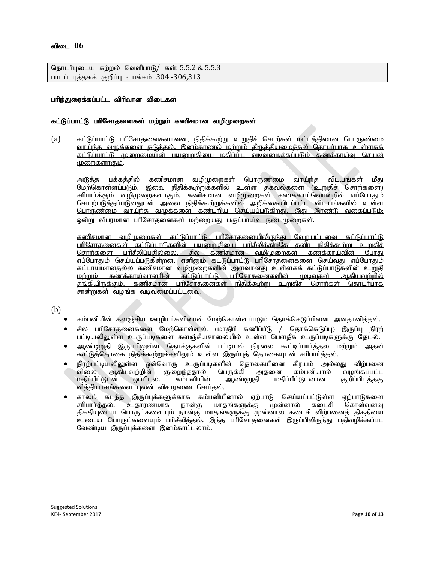| தொடர்புடைய கற்றல் வெளிபாடு/ கள்: 5.5.2 & 5.5.3 |  |
|------------------------------------------------|--|
| பாடப் புத்தகக் குறிப்பு : பக்கம் 304 -306,313  |  |

#### பரிந்துரைக்கப்பட்ட விரிவான விடைகள்

#### கட்டுப்பாட்டு பரிசோதனைகள் மற்றும் கணிசமான வழிமுறைகள்

(a) கட்டுப்பாட்டு பரிசோதனைகளாவன, நிதிக்கூற்று உறுதிச் சொற்கள் மட்டத்திலான பொருண்மை <u>வாய்ந்த வழுக்களை தடுத்தல், இனம்காணல் மற்றும் திருத்தியமைத்தல் தொடர்பாக உள்ளகக்</u> <u>கட்டுப்பாட்டு முறைமையின் பயனுறுதியை மதிப்பிட வடிவமைக்கப்படும் கணக்காய்வு செயன்</u> <u>முறைகளாகும்.</u>

அடுத்த பக்கத்தில் கணிசமான வழிமுறைகள் பொருண்மை வாய்ந்த விடயங்கள் மீது மேற்கொள்ளப்படும். இவை <u>நிதிக்கூற்றுக்களில் உள்ள தகவல்களை (உறுதிச் சொற்களை)</u> <u>சரிபார்க்கும் வழிமுறைகளாகும். கணிசமான வழிமுறைகள் கணக்காய்வொன்றில் எப்போதும்</u> செயற்படுத்தப்படுவதுடன் அவை நிதிக்கூற்றுக்களில் அறிக்கையிடப்பட்ட விடயங்களில் உள்ள <u>பொருண்மை வாய்ந்த வழுக்களை கண்டறிய செய்யப்படுகிறது. இது இரண்டு வகைப்படும்.</u> <u>ண்று விபரமான பரிசோதனைகள் மற்றையது பகுப்பாய்வு நடைமுறைகள்</u>.

<u>கணிசமான வழிமுறைகள் கட்டுப்பாட்டு பரிசோதனையிலிருந்து வேறுபட்டவை கட்டுப்பாட்டு</u> <u>பரிசோதனைகள் கட்டுப்பாடுகளின் பயனுறுதியை பரிசீலிக்கிறதே தவிர நிதிக்கூற்று உறுதிச்</u> <u>சொர்களை பரிசீலிப்பகில்லை. சில கணிசமான வமிமுறைகள் கணக்காய்வின் போகு</u> <u>எப்போதும் செய்யப்படுகின்றன</u>. எனினும் கட்டுப்பாட்டு பரிசோதனைகளை செய்வது எப்போதும் கட்டாயமானதல்ல கணிசமான வழிமுறைகளின் அளவானது <u>உள்ளகக் கட்டுப்பாடுகளின் உறுதி</u><br>மற்றும் கணக்காய்வாளரின் கட்டுப்பாட்டு பரிசோகனைகளின் முடிவகள் அ.கியவற்றில் <u>. கணக்காய்வாளரின் கட்டுப்பாட்டு பரிசோதனைகளின் முடிவுகள் ஆகியவற்றில்</u> <u>தங்கியிருக்கும். கணிசமான பரிசோதனைகள் நிதிக்கூற்று உறுதிச் சொற்கள் தொடர்பாக</u> <u>சான்றுகள் வழங்க வடிவமைப்பட்டவை</u>.

(b)

- கம்பனியின் களஞ்சிய ஊழியா்களினால் மேற்கொள்ளப்படும் தொக்கெடுப்பினை அவதானித்தல்.
- $\bullet$  சில பரிசோதனைகளை மேற்கொள்ளல்: (மாதிரி கணிப்பீடு / தொக்கெடுப்பு) இருப்பு நிரற் பட்டியலிலுள்ள உருப்படிகளை களஞ்சியசாலையில் உள்ள பௌதீக உருப்படிகளுக்கு தேடல்.
- ஆண்டிறுதி இருப்பிலுள்ள தொக்குகளின் பட்டியல் நிரலை கூட்டிப்பார்த்தல் மற்றும் அதன் கூட்டுத்தொகை நிதிக்கூற்றுக்களிலும் உள்ள இருப்புத் தொகையுடன் சரிபாா்த்தல்.
- நிரற்பட்டியலிலுள்ள ஒவ்வொரு உருப்படிகளின் தொகையினை கிரயம் அல்லது விற்பனை<br>விலை ஆகியவற்றின் குறைந்ததால் பெருக்கி அதனை கம்பனியால் வழங்கப்பட்ட விலை ஆகியவற்றின் குறைந்ததால் பெருக்கி அதனை கம்பனியால் வழங்கப்பட்ட<br>மதிப்பீட்டுடன் ஒப்பிடல். கம்பனியின் ஆண்டிறுதி மதிப்பீட்டுடனான குறிப்பிடத்தகு மதிப்பீட்டுடனான வித்தியாசங்களை புலன் விசாரணை செய்தல்.
- காலம் கடந்த இருப்புக்களுக்காக கம்பனியினால் ஏற்பாடு செய்யப்பட்டுள்ள ஏற்பாடுகளை<br>சரிபார்த்தல். உதாரணமாக நான்கு மாதங்களுக்கு முன்னால் கடைசி கொள்வனவு முன்னால் கடைசி திகதியுடைய பொருட்களையும் நான்கு மாதங்களுக்கு முன்னால் கடைசி விற்பனைத் திகதியை உடைய பொருட்களையும் பரிசீலித்தல். இந்த பரிசோதனைகள் இருப்பிலிருந்து பதிவழிக்கப்பட வேண்டிய இருப்புக்களை இனம்காட்டலாம்.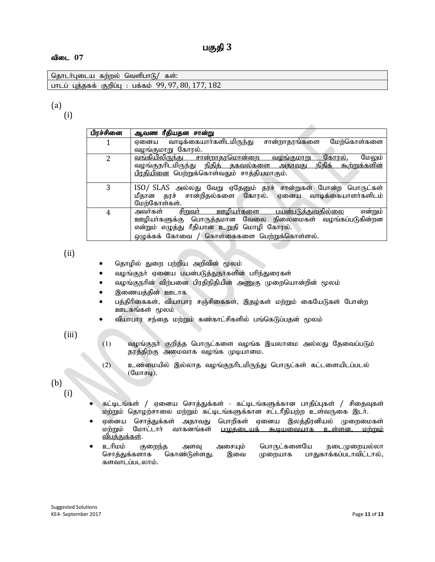| கற்றல<br>தொடர்புடைய<br>கள:<br>்கௌ்பாடு.                               |  |
|-----------------------------------------------------------------------|--|
| 182<br>80<br>99.<br>பக்கம்<br>பாடப் பக்ககக்<br>குறிப்ப<br>LITLL<br>ч, |  |

# (a)

(i)

| பிரச்சினை                | ஆவண ரீதியதன சான்று                                                              |
|--------------------------|---------------------------------------------------------------------------------|
|                          | சான்றாதரங்களை<br>ஏனைய வாடிக்கையார்களிடமிருந்து<br>மேற்கொள்களை                   |
|                          | வழங்குமாறு கோரல்.                                                               |
| $\overline{\mathcal{L}}$ | <u>வங்கியிலிருந்து சான்றாதரமொன்றை வழங்குமாறு</u><br><u>கோால்.</u><br>மேலும்     |
|                          | வழங்குநாிடமிருந்து <u>நிதித் தகவல்களை அதாவது</u><br><u>நிதிக் கூற்றுக்களின்</u> |
|                          | பிரதியினை பெற்றுக்கொள்வதும் சாத்தியமாகும்.                                      |
|                          |                                                                                 |
| 3                        | ISO/ SLAS அல்லது வேறு ஏதேனும் தரச் சான்றுகள் போன்ற பொருட்கள்                    |
|                          | மீதான தரச் சான்றிதல்களை கோரல். ஏனைய வாடிக்கையாளர்களிடம்                         |
|                          | மேற்கோள்கள்.                                                                    |
| 4                        | என்றும்<br><u>சிறுவா் ஊழியா்களை பயன்படுத்துவதில்லை</u><br>அவர்கள்               |
|                          | ஊழியா்களுக்கு பொருத்தமான வேலை நிலைமைகள் வழங்கப்படுகின்றன                        |
|                          | என்றும் எழுத்து ரீதியான உறுதி மொழி கோரல்.                                       |
|                          | ஒழுக்கக் கோவை / கொள்கைகளை பெற்றுக்கொள்ளல்.                                      |

(ii)

- தொழில் துறை பற்றிய அறிவின் மூலம்
- வழங்குநா் ஏனைய பயன்படுத்துநா்களின் பாிந்துரைகள்
- வழங்குநரின் விற்பனை பிரதிநிதியின் அணுகு முறையொன்றின் மூலம்
- இணையத்தின் ஊடாக
- பத்திரிகைகள், வியாபார சஞ்சிகைகள், இதழ்கள் மற்றும் கையேடுகள் போன்ற ஊடகங்கள் மூலம்
- வியாபார சந்தை மற்றும் கண்காட்சிகளில் பங்கெடுப்பதன் மூலம்

### (iii)

- $(1)$  வழங்குநா் குறித்த பொருட்களை வழங்க இயலாமை அல்லது தேவைப்படும் தரத்திற்கு அமைவாக வழங்க முடியாமை.
- (2) உண்மையில் இல்லாத வழங்குநரிடமிருந்து பொருட்கள் கட்டளையிடப்படல்  $(\mathbb{G} \text{L} \text{L} \text{L} \text{L} \text{L})$ .

## (b) (i)

- கட்டிடங்கள் / ஏனைய சொத்துக்கள் கட்டிடங்களுக்கான பாதிப்புகள் / சிதைவுகள் மற்றும் தொழற்சாலை மற்றும் கட்டிடங்களுக்கான சட்டரீதியற்ற உள்வருகை இடர்.
- ஏனைய சொத்துக்கள் அதாவது பொறிகள் ஏனைய இலத்திரனியல் முறைமைகள்<br>மற்றும் மோட்டார் வாகனங்கள் புமுகடையுக் கூடியவையாக உள்ளன. மற்றும் உள்ளன. மற்றும் விபத்துக்கள்.
- ் உரிமம் குறைந்த அளவு அசையும் பொருட்களையே நடைமுறையல்லா<br>சொத்துக்களாக கொண்டுள்ளது. இவை முறையாக பாதுகாக்கப்படாவிட்டால், பாதுகாக்கப்படாவிட்டால், களவாடப்படலாம்.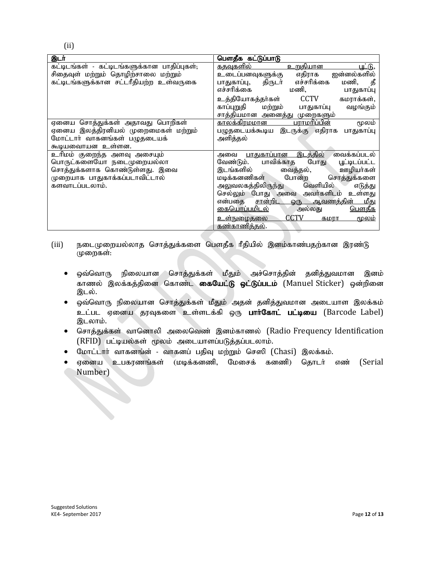| இடர்                                        | பௌதீக கட்டுப்பாடு                                               |
|---------------------------------------------|-----------------------------------------------------------------|
| கட்டிடங்கள் - கட்டிடங்களுக்கான பாதிப்புகள்; | <u>கதவுகளில்</u><br><u>உறுதியான</u><br><u>ய ்டு, </u>           |
| சிதைவுள் மற்றும் தொழிற்சாலை மற்றும்         | ஐன்னல்களில்<br>எதிராக<br>உடைப்பனவுகளுக்கு                       |
| கட்டிடங்களுக்கான சட்டரீதியற்ற உள்வருகை      | எச்சரிக்கை<br>மணி,<br>திருடர்<br>பாதுகாப்பு,                    |
|                                             | எச்சரிக்கை<br>மணி,<br>பாதுகாப்பு                                |
|                                             | <b>CCTV</b><br>உத்தியோகத்தர்கள்<br>கமராக்கள்,                   |
|                                             | காப்புறுதி<br>மற்றும்<br>வழங்கும்<br>பாதுகாப்பு                 |
|                                             | சாத்தியமான அனைத்து முறைகளும்                                    |
| ஏனைய சொத்துக்கள் அதாவது பொறிகள்             | <u>பராமரிப்பின்</u><br><u>காலக்கிரமமான</u><br>மூலம்             |
| ஏனைய இலத்திரனியல் முறைமைகள் மற்றும்         | பழுதடையக்கூடிய இடருக்கு எதிராக<br>பாதுகாப்பு                    |
| மோட்டார் வாகனங்கள் பழுதடையக்                | அளித்தல்                                                        |
| கூடியவைாயன உள்ளன.                           |                                                                 |
| உரிமம் குறைந்த அளவு அசையும்                 | வைக்கப்படல்<br><u>இடத்தில்</u><br><u>பாதுகாப்பான _</u><br>அவை   |
| பொருட்களையோ நடைமுறையல்லா                    | பாவிக்காத<br>வேண்டும்.<br>போது<br>யூட்டிடப்பட்ட                 |
| சொத்துக்களாக கொண்டுள்ளது. இவை               | ஊழியர்கள்<br>இடங்களில்<br>வைத்தல்,                              |
| முறையாக பாதுகாக்கப்படாவிட்டால்              | போன்ற<br>மடிக்கனணிகள்<br>சொத்துக்களை                            |
| களவாடப்படலாம்.                              | வெளியில்<br>அலுவலகத்திலிருந்து<br>எடுத்து                       |
|                                             | செல்லும் போது அவை அவர்களிடம்<br>உள்ளது                          |
|                                             | <u>சான்றிட</u><br><u>ஒரு ஆவணத்தின்</u><br><u>மீது</u><br>என்பதை |
|                                             | <u>கையொப்பமிடல்</u><br><u>பௌதீக</u><br>அல்லது                   |
|                                             | CCTV<br><u>உள்நுழைகலை</u><br>கமாா<br>மூலம்                      |
|                                             | <u>கண்காணித்தல்.</u>                                            |

- (iii) நடைமுறையல்லாத சொத்துக்களை பௌதீக ரீதியில் இனம்காண்பதற்கான இரண்டு (முறைகள்:
	- ஒவ்வொரு நிலையான சொத்துக்கள் மீதும் அச்சொத்தின் தனித்துவமான இனம் காணல் இலக்கத்தினை கொண்ட கையேட்டு ஓட்டுப்படம் (Manuel Sticker) ஒன்றினை இடல்.
	- ஒவ்வொரு நிலையான சொத்துக்கள் மீதும் அதன் தனித்துவமான அடையாள இலக்கம் உட்பட ஏனைய தரவுகளை உள்ளடக்கி ஒரு பார்கோட் பட்டியை (Barcode Label) இடலாம்.
	- சொத்துக்கள் வானொலி அலைவெண் இனம்காணல் (Radio Frequency Identification  $(RFID)$  பட்டியல்கள் மூலம் அடையாளப்படுத்தப்படலாம்.
	- $\bullet$  மோட்டார் வாகனங்ன் வாகனப் பதிவு மற்றும் செஸி (Chasi) இலக்கம்.
	- ஏனைய உபகரணங்கள் (மடிக்கனணி, மேசைக் கனணி) தொடர் எண் (Serial Number)